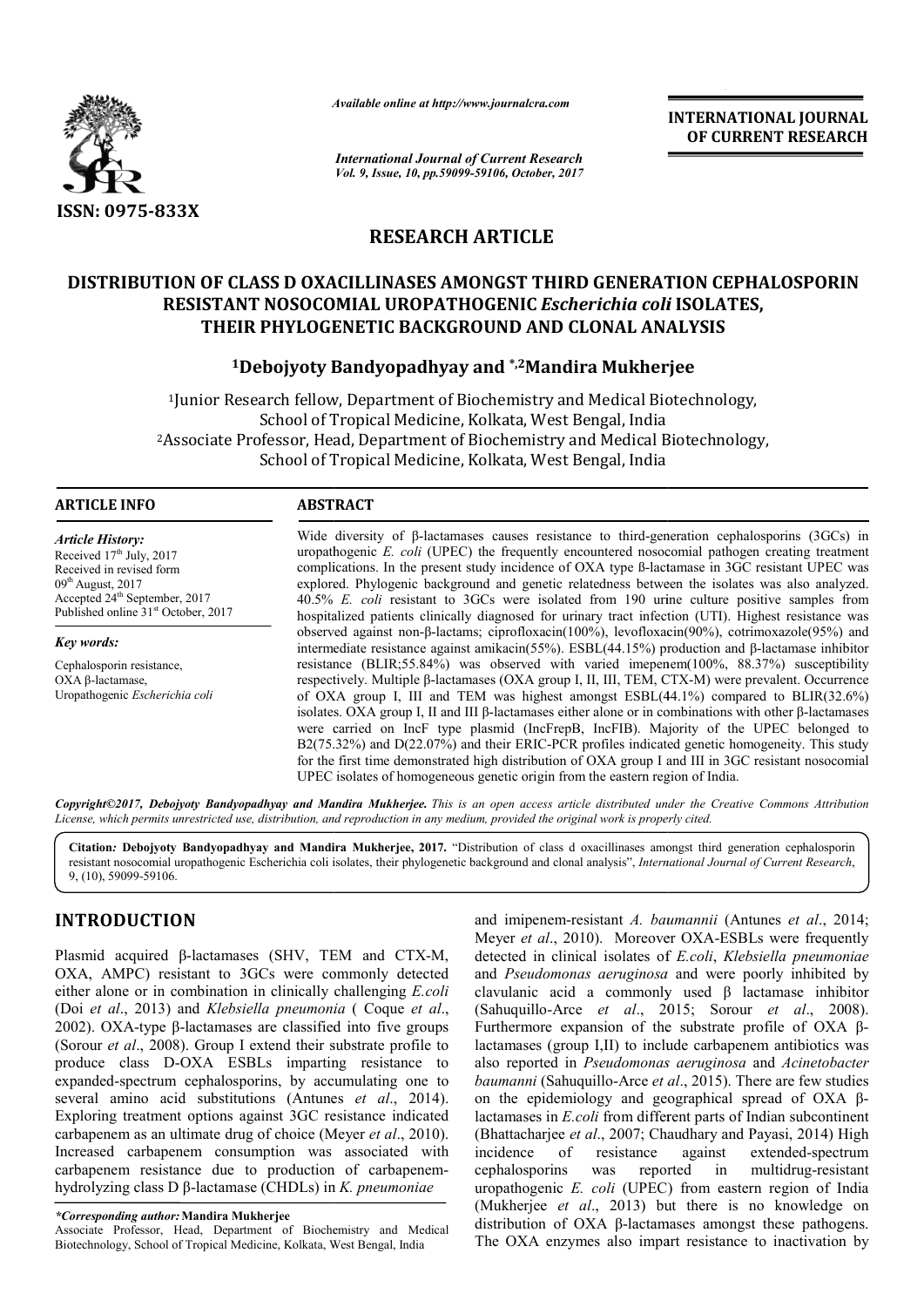

*Available online at http://www.journal http://www.journalcra.com*

*International Journal of Current Research Vol. 9, Issue, 10, pp.59099-59106, October, 2017* **INTERNATIONAL JOURNAL OF CURRENT RESEARCH** 

# **RESEARCH ARTICLE**

# **DISTRIBUTION OF CLASS D OXACILLINASES AMONGST THIRD GENERATION CEPHALOSPORIN DISTRIBUTION RESISTANT NOSOCOMIAL UROPATHOGENIC**  *Escherichia coli* **ISOLATES, THEIR PHYLOGENETIC BACKGROUND AND CLONAL ANALYSIS**

# THEIR PHYLOGENETIC BACKGROUND AND CLONAL ANALY<br><sup>1</sup>Debojyoty Bandyopadhyay and \*,<sup>2</sup>Mandira Mukherjee

<sup>1</sup>Junior Research fellow, Department of Biochemistry and Medical Biotechnology, School of Tropical Medicine, Kolkata, West Bengal, India <sup>1</sup> Junior Research fellow, Department of Biochemistry and Medical Biotechnology,<br>School of Tropical Medicine, Kolkata, West Bengal, India<br><sup>2</sup> Associate Professor, Head, Department of Biochemistry and Medical Biotechnology School of Tropical Medicine, Kolkata, West Bengal, India

#### **ARTICLE INFO ABSTRACT**

*Article History:* Received 17<sup>th</sup> July, 2017 Received in revised form  $09<sup>th</sup>$  August, 2017 Accepted 24<sup>th</sup> September, 2017 Published online 31<sup>st</sup> October, 2017

*Key words:* Cephalosporin resistance, OXA β-lactamase, Uropathogenic *Escherichia coli*

Wide diversity of β-lactamases causes resistance to third-generation cephalosporins (3GCs) in uropathogenic *E. coli* (UPEC) the frequently encountered nosocomial pathogen creating treatment uropathogenic *E. coli* (UPEC) the frequently encountered nosocomial pathogen creating treatment complications. In the present study incidence of OXA type ß-lactamase in 3GC resistant UPEC was explored. Phylogenic background and genetic relatedness between the isolates was also analyzed. 40.5% *E. coli* resistant to 3GCs were isolated from 190 urine culture positive samples from 40.5% *E. coli* resistant to 3GCs were isolated from 190 urine culture positive samples from hospitalized patients clinically diagnosed for urinary tract infection (UTI). Highest resistance was observed against non-β-lactams; ciprofloxacin(100%), levofloxacin(90%), cotrimoxazole(95%) and observed against non-β-lactams; ciprofloxacin(100%), levofloxacin(90%), cotrimoxazole(95%) and intermediate resistance against amikacin(55%). ESBL(44.15%) production and β-lactamase inhibitor resistance (BLIR;55.84%) was observed with varied imepenem(100%, 88.37%) susceptibility respectively. Multiple β-lactamases (OXA group I, II, III, TEM, CTX-M) were prevalent. Occurrence of OXA group I, III and TEM was highest amongst ESBL(44.1%) compared to BLIR(32.6%) of OXA group I, III and TEM was highest amongst ESBL(44.1%) compared to BLIR(32.6%) isolates. OXA group I, II and III  $\beta$ -lactamases either alone or in combinations with other  $\beta$ -lactamases were carried on IncF type plasmid ( (IncFrepB, IncFIB). Majority of the UPEC belonged to B2(75.32 75.32%) and D(22.07%) and their ERIC-PCR profiles indicated genetic homogeneity. This study for the first time demonstrated high distribution of O OXA group I and III in 3GC resistant nosocomial UPEC isolates of homogeneous genetic origin from the eastern region of India. were carried on IncF type plasmid (IncFrepB, IncFIB). Majority of the UPEC B2(75.32%) and D(22.07%) and their ERIC-PCR profiles indicated genetic homogeneir for the first time demonstrated high distribution of OXA group I

Copyright©2017, Debojyoty Bandyopadhyay and Mandira Mukherjee. This is an open access article distributed under the Creative Commons Attribution *License, which permits unrestricted use, distribution, and reproduction in any medium, provided the original work is properly cited.*

Citation: Debojyoty Bandyopadhyay and Mandira Mukherjee, 2017. "Distribution of class d oxacillinases amongst third generation cephalosporin resistant nosocomial uropathogenic Escherichia coli isolates, their phylogenetic background and clonal analysis", *International Journal of Current Research*, 9, (10), 59099-59106. *use, distribution, and reproduction in any medium, provided the original work is properly cited.*<br> **dhyay and Mandira Mukherjee, 2017.** "Distribution of class d oxacillinases amongst third generation cephalosporin<br>
ic Esc oxacillinases amongst

# **INTRODUCTION**

Plasmid acquired  $\beta$ -lactamases (SHV, TEM and CTX-M, OXA, AMPC) resistant to 3GCs were commonly detected either alone or in combination in clinically challenging *E.coli*  (Doi *et al*., 2013) and *Klebsiella pneumonia*  ( Coque *et al*., 2002). OXA-type β-lactamases are classified into five groups (Sorour *et al*., 2008). Group I extend their substrate profile to produce class D-OXA ESBLs imparting resistance to expanded-spectrum cephalosporins, by accumulating one several amino acid substitutions (Antunes *et al.*, 2014). Exploring treatment options against 3GC resistance indicated carbapenem as an ultimate drug of choice (Meyer Meyer *et al*., 2010). Increased carbapenem consumption was associated with carbapenem resistance due to production of carbapenemhydrolyzing class D β-lactamase (CHDLs) in *K. pneumoniae*   $\lambda A$ -type  $\beta$ -lactamases are classified into five groups *al.*, 2008). Group I extend their substrate profile to class D-OXA ESBLs imparting resistance to spectrum cephalosporins, by accumulating one to

Associate Professor, Head, Department of Biochemistry and Medical Biotechnology, School of Tropical Medicine, Kolkata, West Bengal, India

and imipenem-resistant *A. baumannii* Meyer et al., 2010). Moreover OXA-ESBLs were frequently detected in clinical isolates of *E.coli*, *Klebsiella pneumoniae* and *Pseudomonas aeruginosa Pseudomonas* and were poorly inhibited by clavulanic acid a commonly used  $\beta$  lactamase inhibitor (Sahuquillo-Arce *et al*., 2015; Sorour *et al*., 2008). Furthermore expansion of the substrate profile of OXA βlactamases (group I,II) to include carbapenem antibiotics was also reported in *Pseudomonas aeruginosa* and *Acinetobacter baumanni* (Sahuquillo-Arce *et al* ., 2015). There are few studies on the epidemiology and geographical spread of OXA βlactamases in *E.coli* from different parts of Indian subcontinent (Bhattacharjee *et al*., 2007; Chaudhary and Payasi, 2014) High incidence of resistance against cephalosporins was reported in uropathogenic *E. coli* (UPEC) from eastern region of India (Mukherjee *et al*., 2013) but there is no knowledge on distribution of OXA β-lactamases amongst these pathogens. The OXA enzymes also impart resistance to inactivation by extended-spectrum multidrug-resistant Lemannia and Experimental Control (September 1981)<br> **Example 18.** The Equivalent Properties and the summarized the summarized and the summarized scatter of the summarized scatter of the summarized scatter of the set of th

*<sup>\*</sup>Corresponding author:***Mandira Mukherjee**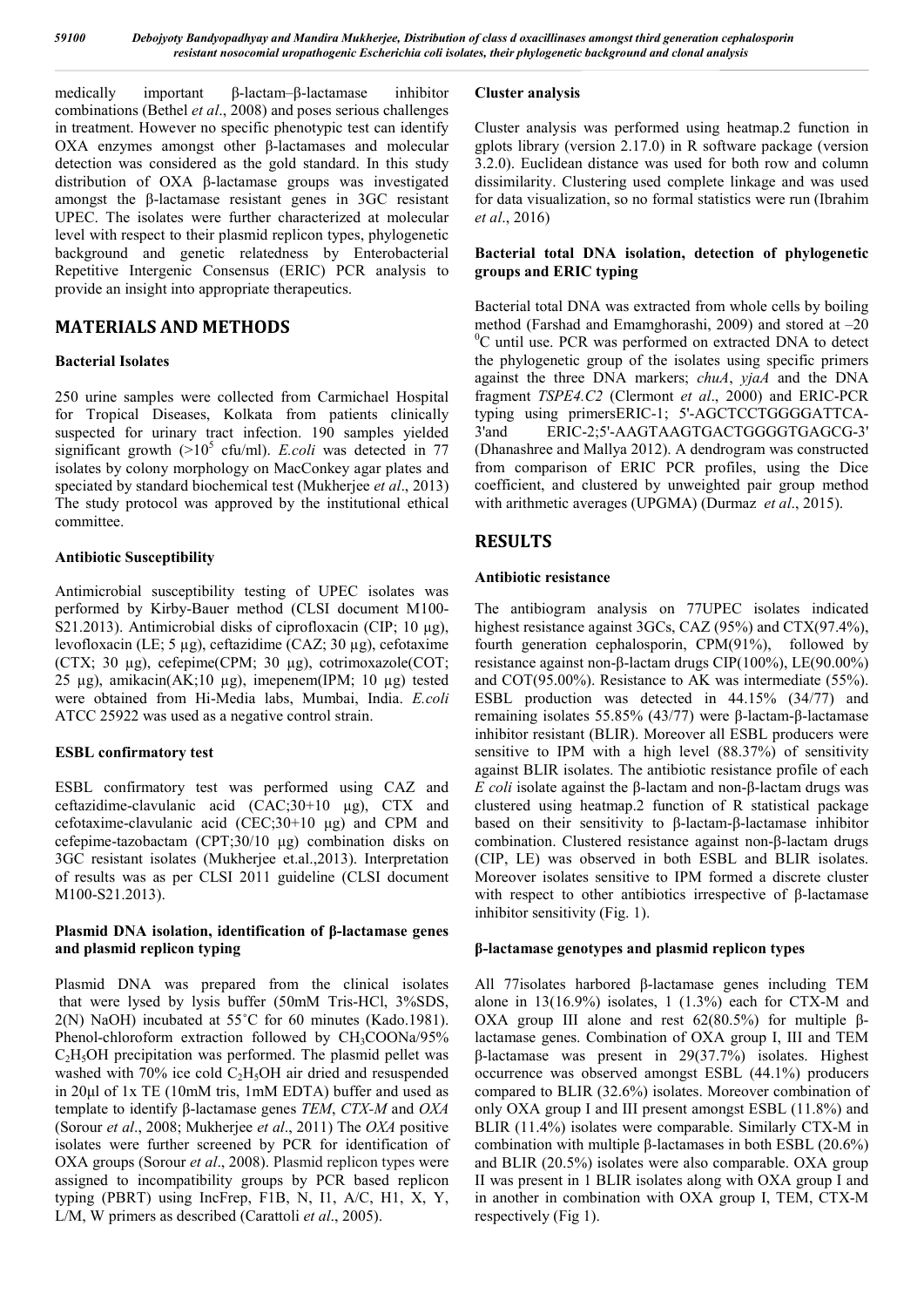medically important β-lactam–β-lactamase inhibitor combinations (Bethel *et al*., 2008) and poses serious challenges in treatment. However no specific phenotypic test can identify OXA enzymes amongst other β-lactamases and molecular detection was considered as the gold standard. In this study distribution of OXA β-lactamase groups was investigated amongst the β-lactamase resistant genes in 3GC resistant UPEC. The isolates were further characterized at molecular level with respect to their plasmid replicon types, phylogenetic background and genetic relatedness by Enterobacterial Repetitive Intergenic Consensus (ERIC) PCR analysis to provide an insight into appropriate therapeutics.

# **MATERIALS AND METHODS**

#### **Bacterial Isolates**

250 urine samples were collected from Carmichael Hospital for Tropical Diseases, Kolkata from patients clinically suspected for urinary tract infection. 190 samples yielded significant growth  $(>10^5 \text{ cftt/ml})$ . *E.coli* was detected in 77 isolates by colony morphology on MacConkey agar plates and speciated by standard biochemical test (Mukherjee *et al*., 2013) The study protocol was approved by the institutional ethical committee.

#### **Antibiotic Susceptibility**

Antimicrobial susceptibility testing of UPEC isolates was performed by Kirby-Bauer method (CLSI document M100- S21.2013). Antimicrobial disks of ciprofloxacin (CIP; 10 μg), levofloxacin (LE; 5 µg), ceftazidime (CAZ; 30 µg), cefotaxime (CTX; 30 µg), cefepime(CPM; 30 µg), cotrimoxazole(COT; 25 μg), amikacin(AK;10 μg), imepenem(IPM; 10 μg) tested were obtained from Hi-Media labs, Mumbai, India. *E.coli*  ATCC 25922 was used as a negative control strain.

#### **ESBL confirmatory test**

ESBL confirmatory test was performed using CAZ and ceftazidime-clavulanic acid (CAC;30+10 μg), CTX and cefotaxime-clavulanic acid (CEC;30+10 μg) and CPM and cefepime-tazobactam (CPT;30/10 μg) combination disks on 3GC resistant isolates (Mukherjee et.al.,2013). Interpretation of results was as per CLSI 2011 guideline (CLSI document M100-S21.2013).

#### **Plasmid DNA isolation, identification of β-lactamase genes and plasmid replicon typing**

Plasmid DNA was prepared from the clinical isolates that were lysed by lysis buffer (50mM Tris-HCl, 3%SDS, 2(N) NaOH) incubated at 55˚C for 60 minutes (Kado.1981). Phenol-chloroform extraction followed by CH<sub>3</sub>COONa/95%  $C<sub>2</sub>H<sub>5</sub>OH$  precipitation was performed. The plasmid pellet was washed with 70% ice cold  $C_2H_5OH$  air dried and resuspended in 20μl of 1x TE (10mM tris, 1mM EDTA) buffer and used as template to identify β-lactamase genes *TEM*, *CTX-M* and *OXA*  (Sorour *et al*., 2008; Mukherjee *et al*., 2011) The *OXA* positive isolates were further screened by PCR for identification of OXA groups (Sorour *et al*., 2008). Plasmid replicon types were assigned to incompatibility groups by PCR based replicon typing (PBRT) using IncFrep, F1B, N, I1, A/C, H1, X, Y, L/M, W primers as described (Carattoli *et al*., 2005).

#### **Cluster analysis**

Cluster analysis was performed using heatmap.2 function in gplots library (version 2.17.0) in R software package (version 3.2.0). Euclidean distance was used for both row and column dissimilarity. Clustering used complete linkage and was used for data visualization, so no formal statistics were run (Ibrahim *et al*., 2016)

#### **Bacterial total DNA isolation, detection of phylogenetic groups and ERIC typing**

Bacterial total DNA was extracted from whole cells by boiling method (Farshad and Emamghorashi, 2009) and stored at –20 <sup>0</sup>C until use. PCR was performed on extracted DNA to detect the phylogenetic group of the isolates using specific primers against the three DNA markers; *chuA*, *yjaA* and the DNA fragment *TSPE4.C2* (Clermont *et al*., 2000) and ERIC-PCR typing using primersERIC-1; 5'-AGCTCCTGGGGATTCA-3'and ERIC-2;5'-AAGTAAGTGACTGGGGTGAGCG-3' (Dhanashree and Mallya 2012). A dendrogram was constructed from comparison of ERIC PCR profiles, using the Dice coefficient, and clustered by unweighted pair group method with arithmetic averages (UPGMA) (Durmaz *et al*., 2015).

# **RESULTS**

#### **Antibiotic resistance**

The antibiogram analysis on 77UPEC isolates indicated highest resistance against 3GCs, CAZ (95%) and CTX(97.4%), fourth generation cephalosporin, CPM(91%), followed by resistance against non-β-lactam drugs CIP(100%), LE(90.00%) and COT(95.00%). Resistance to AK was intermediate (55%). ESBL production was detected in 44.15% (34/77) and remaining isolates 55.85% (43/77) were β-lactam-β-lactamase inhibitor resistant (BLIR). Moreover all ESBL producers were sensitive to IPM with a high level (88.37%) of sensitivity against BLIR isolates. The antibiotic resistance profile of each *E coli* isolate against the β-lactam and non-β-lactam drugs was clustered using heatmap.2 function of R statistical package based on their sensitivity to β-lactam-β-lactamase inhibitor combination. Clustered resistance against non-β-lactam drugs (CIP, LE) was observed in both ESBL and BLIR isolates. Moreover isolates sensitive to IPM formed a discrete cluster with respect to other antibiotics irrespective of β-lactamase inhibitor sensitivity (Fig. 1).

#### **β-lactamase genotypes and plasmid replicon types**

All 77isolates harbored β-lactamase genes including TEM alone in  $13(16.9\%)$  isolates, 1  $(1.3\%)$  each for CTX-M and OXA group III alone and rest 62(80.5%) for multiple βlactamase genes. Combination of OXA group I, III and TEM β-lactamase was present in 29(37.7%) isolates. Highest occurrence was observed amongst ESBL (44.1%) producers compared to BLIR (32.6%) isolates. Moreover combination of only OXA group I and III present amongst ESBL (11.8%) and BLIR (11.4%) isolates were comparable. Similarly CTX-M in combination with multiple β-lactamases in both ESBL (20.6%) and BLIR (20.5%) isolates were also comparable. OXA group II was present in 1 BLIR isolates along with OXA group I and in another in combination with OXA group I, TEM, CTX-M respectively (Fig 1).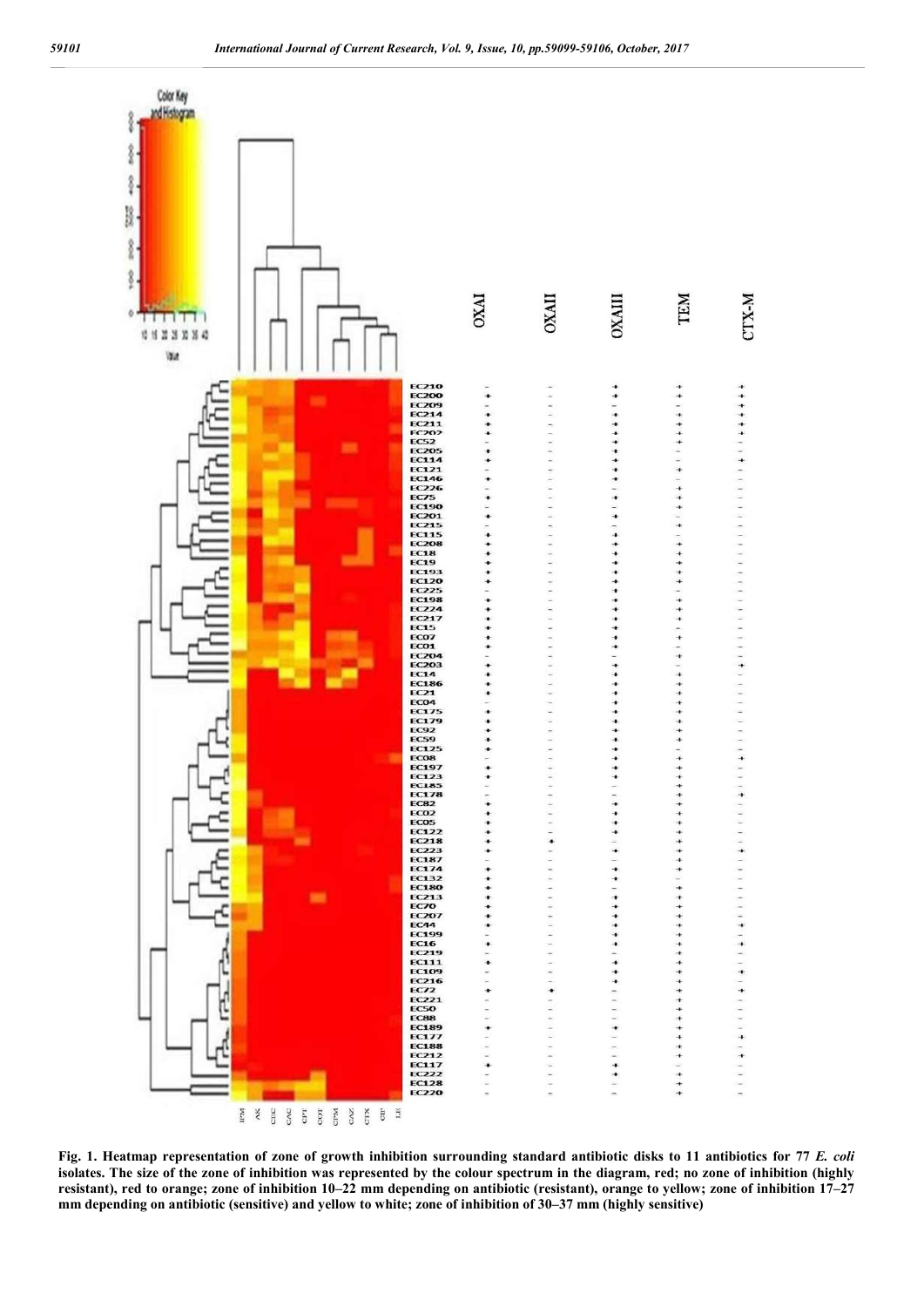

**Fig. 1. Heatmap representation of zone of growth inhibition surrounding standard antibiotic disks to 11 antibiotics for 77** *E. coli*  **isolates. The size of the zone of inhibition was represented by the colour spectrum in the diagram, red; no zone of inhibition (highly resistant), red to orange; zone of inhibition 10–22 mm depending on antibiotic (resistant), orange to yellow; zone of inhibition 17–27 mm depending on antibiotic (sensitive) and yellow to white; zone of inhibition of 30–37 mm (highly sensitive)**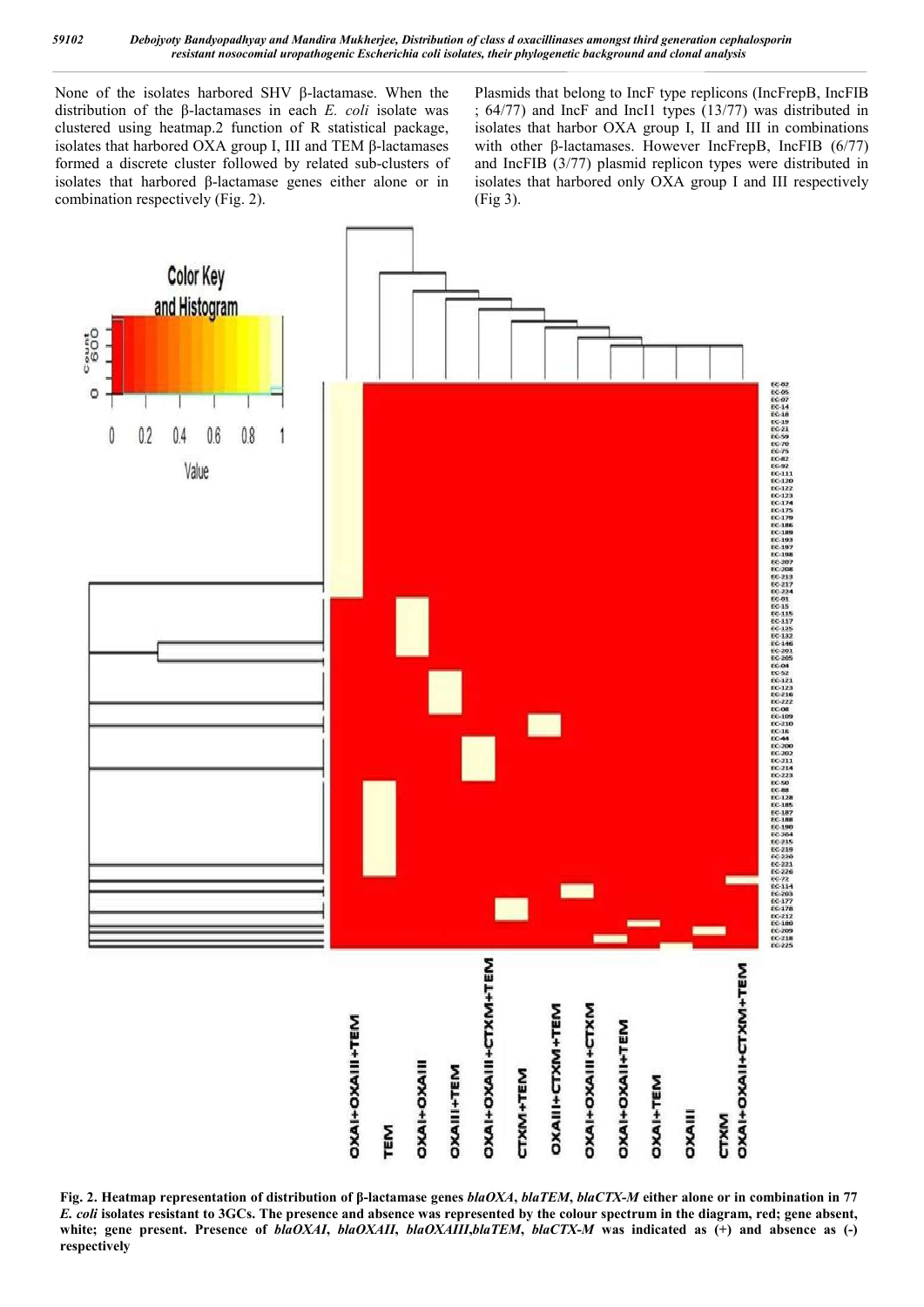None of the isolates harbored SHV β-lactamase. When the distribution of the β-lactamases in each *E. coli* isolate was clustered using heatmap.2 function of R statistical package, isolates that harbored OXA group I, III and TEM β-lactamases formed a discrete cluster followed by related sub-clusters of isolates that harbored β-lactamase genes either alone or in combination respectively (Fig. 2).

Plasmids that belong to IncF type replicons (IncFrepB, IncFIB ; 64/77) and IncF and IncI1 types (13/77) was distributed in isolates that harbor OXA group I, II and III in combinations with other β-lactamases. However IncFrepB, IncFIB (6/77) and IncFIB (3/77) plasmid replicon types were distributed in isolates that harbored only OXA group I and III respectively (Fig 3).



**Fig. 2. Heatmap representation of distribution of β-lactamase genes** *blaOXA***,** *blaTEM***,** *blaCTX-M* **either alone or in combination in 77**  *E. coli* **isolates resistant to 3GCs. The presence and absence was represented by the colour spectrum in the diagram, red; gene absent, white; gene present. Presence of** *blaOXAI***,** *blaOXAII***,** *blaOXAIII***,***blaTEM***,** *blaCTX-M* **was indicated as (+) and absence as (-) respectively**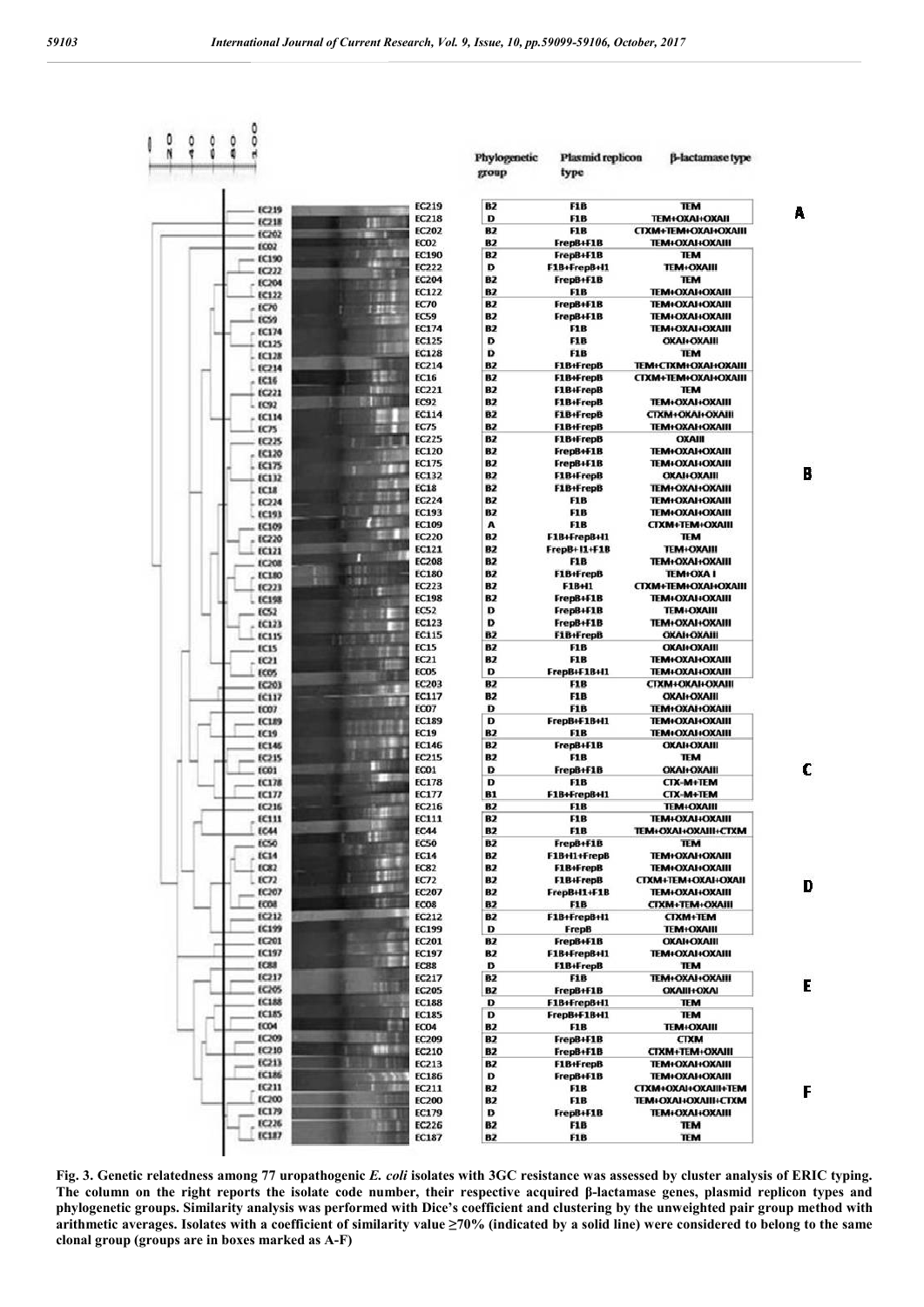



 $\overline{0}$ 

**EC219** 

**EC218** 

EC202

EC02

**EC190** 

 $ECD22$ 

EC204

EC122

EC70

ECSO

**EC174** 

EC125

EC128

EC214

**EC16** 

EC221

EC92

EC<sub>25</sub>

**EC225** 

EC120

EC175

EC132

FC18

EC224

**EC193** 

EC109

EC220

**EC121** 

**EC208 EC180** 

 $f(22)$ 

**EC198** 

 $ECS2$ 

 $f(12)$ 

**EC115** ECIS

EC21

ECOS

**EC203** 

**EC117** 

**EC07** 

ECLES

**EC19** 

**EC146** 

**EC215** 

EC01

**EC178** 

 $EC122$ 

**EC216** 

ECI11

EC44

reso

**EC14** 

EC82

 $tCT2$ 

EC207

rone

**EC212** 

**EC199** 

EC201

EC197

**FCRR** 

 $ECD17$ 

EC205

EC188

**EC185** 

**ECO4** 

**EC209** 

EC210

EC213

**EC186** 

**EC211** 

EC200

EC179

EC226

**EC187** 

**EC114** 

 $\frac{0}{6}$  $\frac{0}{6}$ å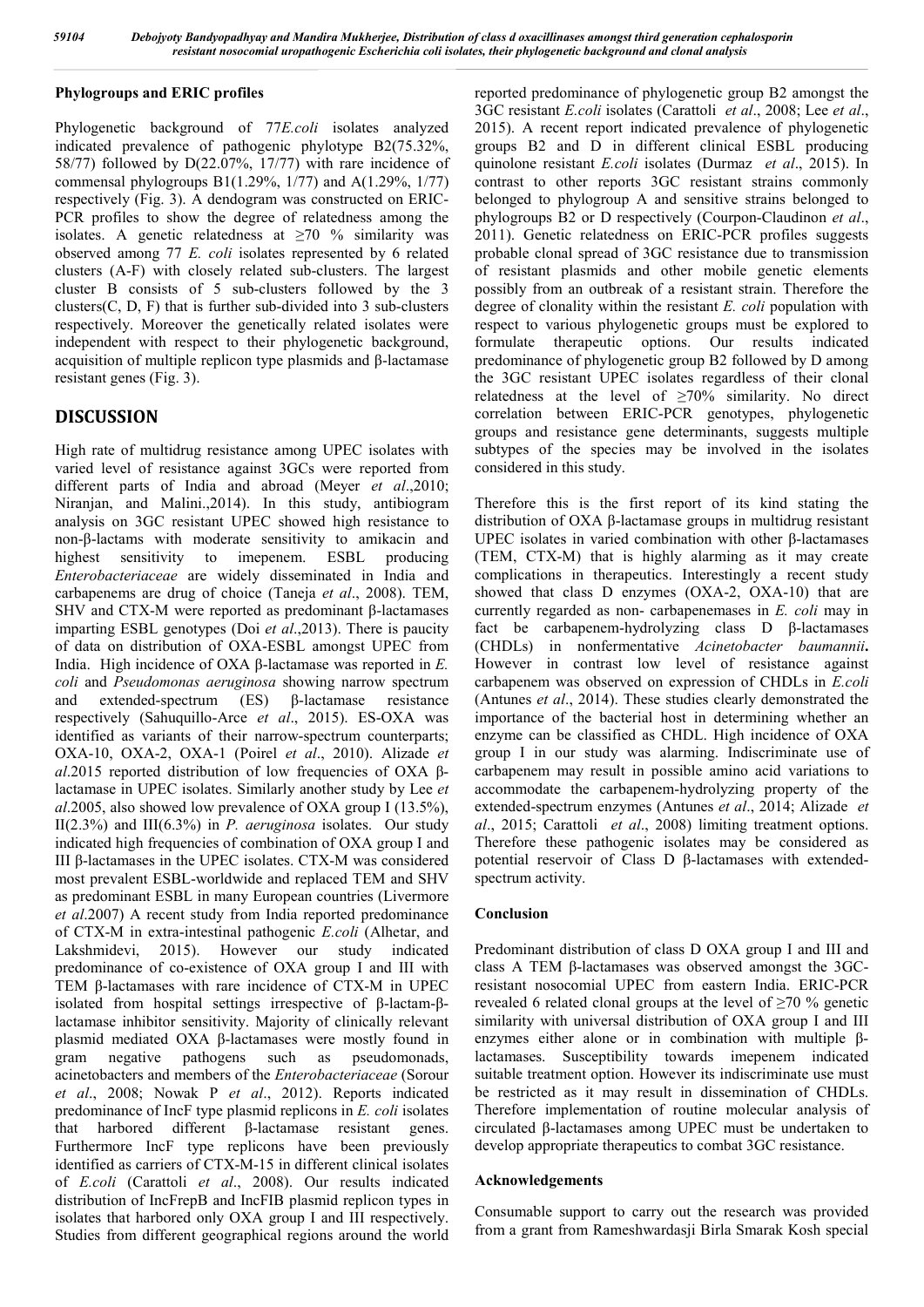#### **Phylogroups and ERIC profiles**

Phylogenetic background of 77*E.coli* isolates analyzed indicated prevalence of pathogenic phylotype B2(75.32%, 58/77) followed by D(22.07%, 17/77) with rare incidence of commensal phylogroups B1(1.29%, 1/77) and A(1.29%, 1/77) respectively (Fig. 3). A dendogram was constructed on ERIC-PCR profiles to show the degree of relatedness among the isolates. A genetic relatedness at  $\geq 70$  % similarity was observed among 77 *E. coli* isolates represented by 6 related clusters (A-F) with closely related sub-clusters. The largest cluster B consists of 5 sub-clusters followed by the 3 clusters $(C, D, F)$  that is further sub-divided into 3 sub-clusters respectively. Moreover the genetically related isolates were independent with respect to their phylogenetic background, acquisition of multiple replicon type plasmids and β-lactamase resistant genes (Fig. 3).

### **DISCUSSION**

High rate of multidrug resistance among UPEC isolates with varied level of resistance against 3GCs were reported from different parts of India and abroad (Meyer *et al*.,2010; Niranjan, and Malini.,2014). In this study, antibiogram analysis on 3GC resistant UPEC showed high resistance to non-β-lactams with moderate sensitivity to amikacin and highest sensitivity to imepenem. ESBL producing *Enterobacteriaceae* are widely disseminated in India and carbapenems are drug of choice (Taneja *et al*., 2008). TEM, SHV and CTX-M were reported as predominant β-lactamases imparting ESBL genotypes (Doi *et al*.,2013). There is paucity of data on distribution of OXA-ESBL amongst UPEC from India. High incidence of OXA β-lactamase was reported in *E. coli* and *Pseudomonas aeruginosa* showing narrow spectrum and extended-spectrum (ES) β-lactamase resistance respectively (Sahuquillo-Arce *et al*., 2015). ES-OXA was identified as variants of their narrow-spectrum counterparts; OXA-10, OXA-2, OXA-1 (Poirel *et al*., 2010). Alizade *et al*.2015 reported distribution of low frequencies of OXA βlactamase in UPEC isolates. Similarly another study by Lee *et al*.2005, also showed low prevalence of OXA group I (13.5%), II(2.3%) and III(6.3%) in *P. aeruginosa* isolates. Our study indicated high frequencies of combination of OXA group I and III β-lactamases in the UPEC isolates. CTX-M was considered most prevalent ESBL-worldwide and replaced TEM and SHV as predominant ESBL in many European countries (Livermore *et al*.2007) A recent study from India reported predominance of CTX-M in extra-intestinal pathogenic *E.coli* (Alhetar, and Lakshmidevi, 2015). However our study indicated predominance of co-existence of OXA group I and III with TEM β-lactamases with rare incidence of CTX-M in UPEC isolated from hospital settings irrespective of β-lactam-βlactamase inhibitor sensitivity. Majority of clinically relevant plasmid mediated OXA β-lactamases were mostly found in gram negative pathogens such as pseudomonads, acinetobacters and members of the *Enterobacteriaceae* (Sorour *et al*., 2008; Nowak P *et al*., 2012). Reports indicated predominance of IncF type plasmid replicons in *E. coli* isolates that harbored different β-lactamase resistant genes. Furthermore IncF type replicons have been previously identified as carriers of CTX-M-15 in different clinical isolates of *E.coli* (Carattoli *et al*., 2008). Our results indicated distribution of IncFrepB and IncFIB plasmid replicon types in isolates that harbored only OXA group I and III respectively. Studies from different geographical regions around the world

reported predominance of phylogenetic group B2 amongst the 3GC resistant *E.coli* isolates (Carattoli *et al*., 2008; Lee *et al*., 2015). A recent report indicated prevalence of phylogenetic groups B2 and D in different clinical ESBL producing quinolone resistant *E.coli* isolates (Durmaz *et al*., 2015). In contrast to other reports 3GC resistant strains commonly belonged to phylogroup A and sensitive strains belonged to phylogroups B2 or D respectively (Courpon-Claudinon *et al*., 2011). Genetic relatedness on ERIC-PCR profiles suggests probable clonal spread of 3GC resistance due to transmission of resistant plasmids and other mobile genetic elements possibly from an outbreak of a resistant strain. Therefore the degree of clonality within the resistant *E. coli* population with respect to various phylogenetic groups must be explored to formulate therapeutic options. Our results indicated predominance of phylogenetic group B2 followed by D among the 3GC resistant UPEC isolates regardless of their clonal relatedness at the level of  $\geq 70\%$  similarity. No direct correlation between ERIC-PCR genotypes, phylogenetic groups and resistance gene determinants, suggests multiple subtypes of the species may be involved in the isolates considered in this study.

Therefore this is the first report of its kind stating the distribution of OXA β-lactamase groups in multidrug resistant UPEC isolates in varied combination with other β-lactamases (TEM, CTX-M) that is highly alarming as it may create complications in therapeutics. Interestingly a recent study showed that class D enzymes (OXA-2, OXA-10) that are currently regarded as non- carbapenemases in *E. coli* may in fact be carbapenem-hydrolyzing class D β-lactamases (CHDLs) in nonfermentative *Acinetobacter baumannii***.** However in contrast low level of resistance against carbapenem was observed on expression of CHDLs in *E.coli* (Antunes *et al*., 2014). These studies clearly demonstrated the importance of the bacterial host in determining whether an enzyme can be classified as CHDL. High incidence of OXA group I in our study was alarming. Indiscriminate use of carbapenem may result in possible amino acid variations to accommodate the carbapenem-hydrolyzing property of the extended-spectrum enzymes (Antunes *et al*., 2014; Alizade *et al*., 2015; Carattoli *et al*., 2008) limiting treatment options. Therefore these pathogenic isolates may be considered as potential reservoir of Class D β-lactamases with extendedspectrum activity.

#### **Conclusion**

Predominant distribution of class D OXA group I and III and class A TEM β-lactamases was observed amongst the 3GCresistant nosocomial UPEC from eastern India. ERIC-PCR revealed 6 related clonal groups at the level of  $\geq 70$  % genetic similarity with universal distribution of OXA group I and III enzymes either alone or in combination with multiple βlactamases. Susceptibility towards imepenem indicated suitable treatment option. However its indiscriminate use must be restricted as it may result in dissemination of CHDLs. Therefore implementation of routine molecular analysis of circulated β-lactamases among UPEC must be undertaken to develop appropriate therapeutics to combat 3GC resistance.

#### **Acknowledgements**

Consumable support to carry out the research was provided from a grant from Rameshwardasji Birla Smarak Kosh special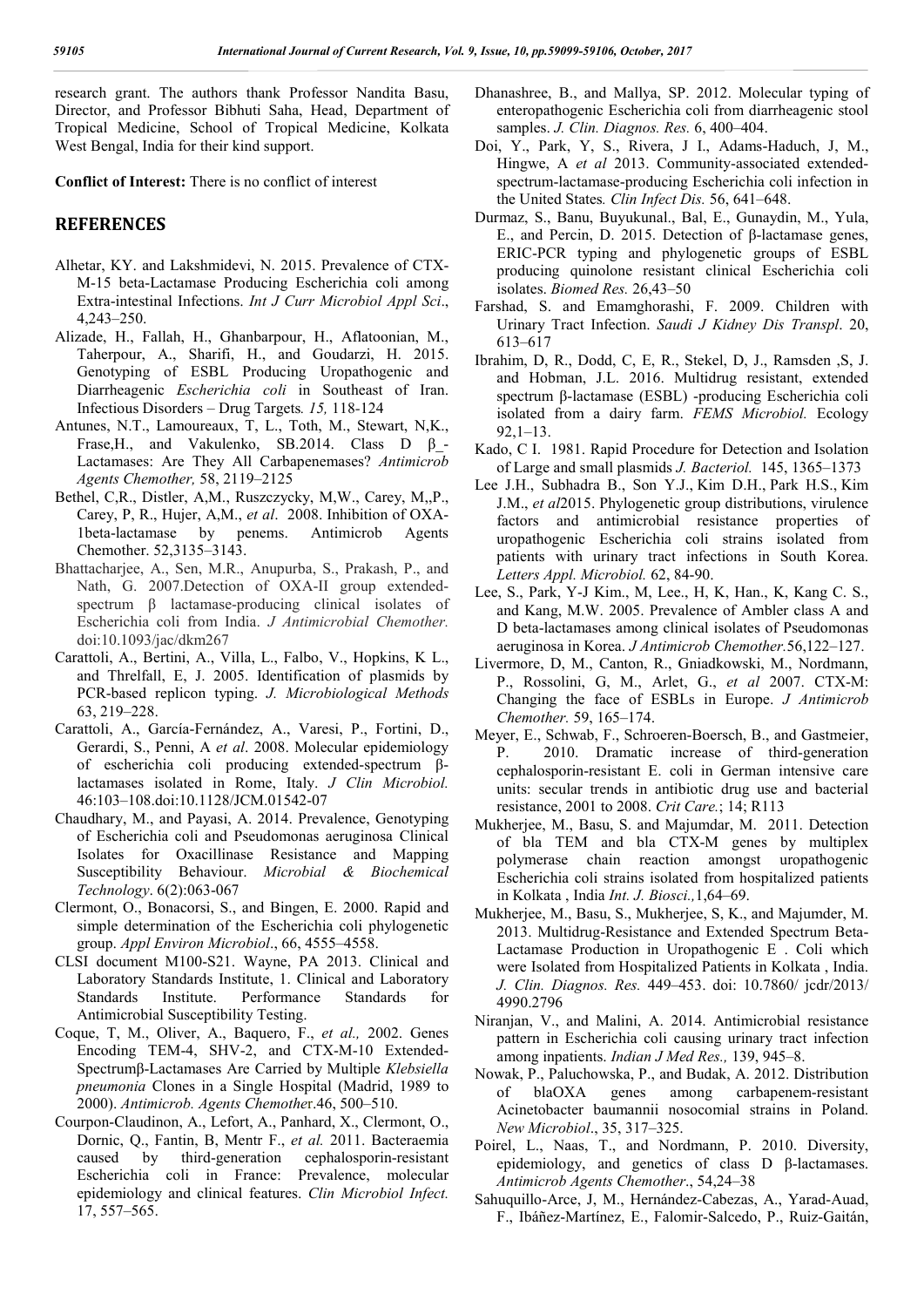research grant. The authors thank Professor Nandita Basu, Director, and Professor Bibhuti Saha, Head, Department of Tropical Medicine, School of Tropical Medicine, Kolkata West Bengal, India for their kind support.

**Conflict of Interest:** There is no conflict of interest

### **REFERENCES**

- Alhetar, KY. and Lakshmidevi, N. 2015. Prevalence of CTX-M-15 beta-Lactamase Producing Escherichia coli among Extra-intestinal Infections. *Int J Curr Microbiol Appl Sci*., 4,243–250.
- Alizade, H., Fallah, H., Ghanbarpour, H., Aflatoonian, M., Taherpour, A., Sharifi, H., and Goudarzi, H. 2015. Genotyping of ESBL Producing Uropathogenic and Diarrheagenic *Escherichia coli* in Southeast of Iran. Infectious Disorders – Drug Targets*. 15,* 118*-*124
- Antunes, N.T., Lamoureaux, T, L., Toth, M., Stewart, N,K., Frase, H., and Vakulenko, SB.2014. Class  $D \beta$ -Lactamases: Are They All Carbapenemases? *Antimicrob Agents Chemother,* 58, 2119–2125
- Bethel, C,R., Distler, A,M., Ruszczycky, M,W., Carey, M,,P., Carey, P, R., Hujer, A,M., *et al*. 2008. Inhibition of OXA-1beta-lactamase by penems. Antimicrob Agents Chemother. 52,3135–3143.
- Bhattacharjee, A., Sen, M.R., Anupurba, S., Prakash, P., and Nath, G. 2007.Detection of OXA-II group extendedspectrum β lactamase-producing clinical isolates of Escherichia coli from India. *J Antimicrobial Chemother.* doi:10.1093/jac/dkm267
- Carattoli, A., Bertini, A., Villa, L., Falbo, V., Hopkins, K L., and Threlfall, E, J. 2005. Identification of plasmids by PCR-based replicon typing. *J. Microbiological Methods* 63, 219–228.
- Carattoli, A., García-Fernández, A., Varesi, P., Fortini, D., Gerardi, S., Penni, A *et al*. 2008. Molecular epidemiology of escherichia coli producing extended-spectrum βlactamases isolated in Rome, Italy. *J Clin Microbiol.* 46:103–108.doi:10.1128/JCM.01542-07
- Chaudhary, M., and Payasi, A. 2014. Prevalence, Genotyping of Escherichia coli and Pseudomonas aeruginosa Clinical Isolates for Oxacillinase Resistance and Mapping Susceptibility Behaviour. *Microbial & Biochemical Technology*. 6(2):063-067
- Clermont, O., Bonacorsi, S., and Bingen, E. 2000. Rapid and simple determination of the Escherichia coli phylogenetic group. *Appl Environ Microbiol*., 66, 4555–4558.
- CLSI document M100-S21. Wayne, PA 2013. Clinical and Laboratory Standards Institute, 1. Clinical and Laboratory Standards Institute. Performance Standards for Antimicrobial Susceptibility Testing.
- Coque, T, M., Oliver, A., Baquero, F., *et al.,* 2002. Genes Encoding TEM-4, SHV-2, and CTX-M-10 Extended-Spectrumβ-Lactamases Are Carried by Multiple *Klebsiella pneumonia* Clones in a Single Hospital (Madrid, 1989 to 2000). *Antimicrob. Agents Chemothe*r.46, 500–510.
- Courpon-Claudinon, A., Lefort, A., Panhard, X., Clermont, O., Dornic, Q., Fantin, B, Mentr F., *et al.* 2011. Bacteraemia caused by third-generation cephalosporin-resistant Escherichia coli in France: Prevalence, molecular epidemiology and clinical features. *Clin Microbiol Infect.*  17, 557–565.
- Dhanashree, B., and Mallya, SP. 2012. Molecular typing of enteropathogenic Escherichia coli from diarrheagenic stool samples. *J. Clin. Diagnos. Res.* 6, 400–404.
- Doi, Y., Park, Y, S., Rivera, J I., Adams-Haduch, J, M., Hingwe, A *et al* 2013. Community-associated extendedspectrum-lactamase-producing Escherichia coli infection in the United States*. Clin Infect Dis.* 56, 641–648.
- Durmaz, S., Banu, Buyukunal., Bal, E., Gunaydin, M., Yula, E., and Percin, D. 2015. Detection of β-lactamase genes, ERIC-PCR typing and phylogenetic groups of ESBL producing quinolone resistant clinical Escherichia coli isolates. *Biomed Res.* 26,43–50
- Farshad, S. and Emamghorashi, F. 2009. Children with Urinary Tract Infection. *Saudi J Kidney Dis Transpl*. 20, 613–617
- Ibrahim, D, R., Dodd, C, E, R., Stekel, D, J., Ramsden ,S, J. and Hobman, J.L. 2016. Multidrug resistant, extended spectrum β-lactamase (ESBL) -producing Escherichia coli isolated from a dairy farm. *FEMS Microbiol.* Ecology 92,1–13.
- Kado, C I. 1981. Rapid Procedure for Detection and Isolation of Large and small plasmids *J. Bacteriol.* 145, 1365–1373
- Lee J.H., Subhadra B., Son Y.J., Kim D.H., Park H.S., Kim J.M., *et al*2015. Phylogenetic group distributions, virulence factors and antimicrobial resistance properties of uropathogenic Escherichia coli strains isolated from patients with urinary tract infections in South Korea. *Letters Appl. Microbiol.* 62, 84-90.
- Lee, S., Park, Y-J Kim., M, Lee., H, K, Han., K, Kang C. S., and Kang, M.W. 2005. Prevalence of Ambler class A and D beta-lactamases among clinical isolates of Pseudomonas aeruginosa in Korea. *J Antimicrob Chemother.*56,122–127.
- Livermore, D, M., Canton, R., Gniadkowski, M., Nordmann, P., Rossolini, G, M., Arlet, G., *et al* 2007. CTX-M: Changing the face of ESBLs in Europe. *J Antimicrob Chemother.* 59, 165–174.
- Meyer, E., Schwab, F., Schroeren-Boersch, B., and Gastmeier, P. 2010. Dramatic increase of third-generation cephalosporin-resistant E. coli in German intensive care units: secular trends in antibiotic drug use and bacterial resistance, 2001 to 2008. *Crit Care.*; 14; R113
- Mukherjee, M., Basu, S. and Majumdar, M. 2011. Detection of bla TEM and bla CTX-M genes by multiplex polymerase chain reaction amongst uropathogenic Escherichia coli strains isolated from hospitalized patients in Kolkata , India *Int. J. Biosci.,*1,64–69.
- Mukherjee, M., Basu, S., Mukherjee, S, K., and Majumder, M. 2013. Multidrug-Resistance and Extended Spectrum Beta-Lactamase Production in Uropathogenic E . Coli which were Isolated from Hospitalized Patients in Kolkata , India. *J. Clin. Diagnos. Res.* 449–453. doi: 10.7860/ jcdr/2013/ 4990.2796
- Niranjan, V., and Malini, A. 2014. Antimicrobial resistance pattern in Escherichia coli causing urinary tract infection among inpatients. *Indian J Med Res.,* 139, 945–8.
- Nowak, P., Paluchowska, P., and Budak, A. 2012. Distribution of blaOXA genes among carbapenem-resistant Acinetobacter baumannii nosocomial strains in Poland. *New Microbiol*., 35, 317–325.
- Poirel, L., Naas, T., and Nordmann, P. 2010. Diversity, epidemiology, and genetics of class D β-lactamases. *Antimicrob Agents Chemother*., 54,24–38
- Sahuquillo-Arce, J, M., Hernández-Cabezas, A., Yarad-Auad, F., Ibáñez-Martínez, E., Falomir-Salcedo, P., Ruiz-Gaitán,